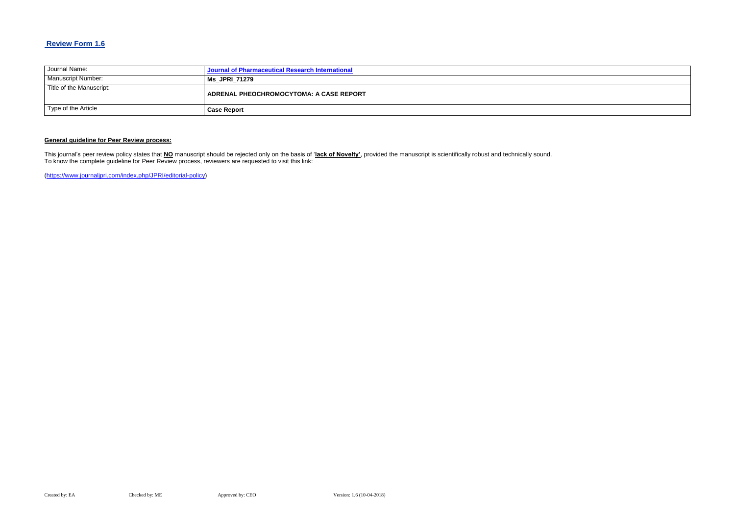# **Review Form 1.6**

| Journal Name:            | Journal of Pharmaceutical Research International |
|--------------------------|--------------------------------------------------|
| Manuscript Number:       | <b>Ms JPRI 71279</b>                             |
| Title of the Manuscript: | ADRENAL PHEOCHROMOCYTOMA: A CASE REPORT          |
| Type of the Article      | <b>Case Report</b>                               |

### **General guideline for Peer Review process:**

This journal's peer review policy states that **NO** manuscript should be rejected only on the basis of '**lack of Novelty'**, provided the manuscript is scientifically robust and technically sound. To know the complete guideline for Peer Review process, reviewers are requested to visit this link:

[\(https://www.journaljpri.com/index.php/JPRI/editorial-policy\)](https://www.journaljpri.com/index.php/JPRI/editorial-policy)